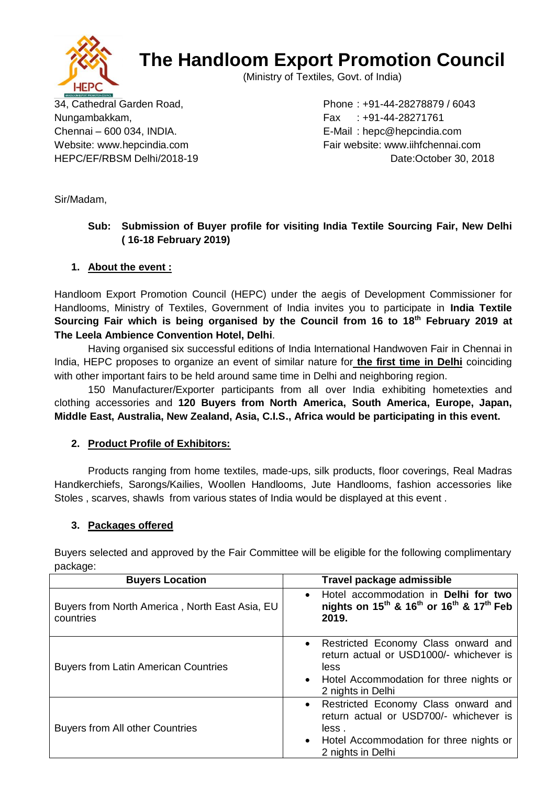

# **The Handloom Export Promotion Council**

(Ministry of Textiles, Govt. of India)

Nungambakkam, Fax : +91-44-28271761

34, Cathedral Garden Road, Phone : +91-44-28278879 / 6043 Chennai – 600 034, INDIA. E-Mail : hepc@hepcindia.com Website: www.hepcindia.com example and Fair website: www.iihfchennai.com HEPC/EF/RBSM Delhi/2018-19 Date:October 30, 2018

Sir/Madam,

## **Sub: Submission of Buyer profile for visiting India Textile Sourcing Fair, New Delhi ( 16-18 February 2019)**

### **1. About the event :**

Handloom Export Promotion Council (HEPC) under the aegis of Development Commissioner for Handlooms, Ministry of Textiles, Government of India invites you to participate in **India Textile Sourcing Fair which is being organised by the Council from 16 to 18th February 2019 at The Leela Ambience Convention Hotel, Delhi**.

Having organised six successful editions of India International Handwoven Fair in Chennai in India, HEPC proposes to organize an event of similar nature for **the first time in Delhi** coinciding with other important fairs to be held around same time in Delhi and neighboring region.

150 Manufacturer/Exporter participants from all over India exhibiting hometexties and clothing accessories and **120 Buyers from North America, South America, Europe, Japan, Middle East, Australia, New Zealand, Asia, C.I.S., Africa would be participating in this event.** 

#### **2. Product Profile of Exhibitors:**

Products ranging from home textiles, made-ups, silk products, floor coverings, Real Madras Handkerchiefs, Sarongs/Kailies, Woollen Handlooms, Jute Handlooms, fashion accessories like Stoles , scarves, shawls from various states of India would be displayed at this event .

### **3. Packages offered**

Buyers selected and approved by the Fair Committee will be eligible for the following complimentary package:

| <b>Buyers Location</b>                                      | Travel package admissible                                                                                                                                  |
|-------------------------------------------------------------|------------------------------------------------------------------------------------------------------------------------------------------------------------|
| Buyers from North America, North East Asia, EU<br>countries | Hotel accommodation in Delhi for two<br>$\bullet$<br>nights on $15^{th}$ & $16^{th}$ or $16^{th}$ & $17^{th}$ Feb<br>2019.                                 |
| <b>Buyers from Latin American Countries</b>                 | • Restricted Economy Class onward and<br>return actual or USD1000/- whichever is<br>less<br>• Hotel Accommodation for three nights or<br>2 nights in Delhi |
| <b>Buyers from All other Countries</b>                      | • Restricted Economy Class onward and<br>return actual or USD700/- whichever is<br>less.<br>• Hotel Accommodation for three nights or<br>2 nights in Delhi |